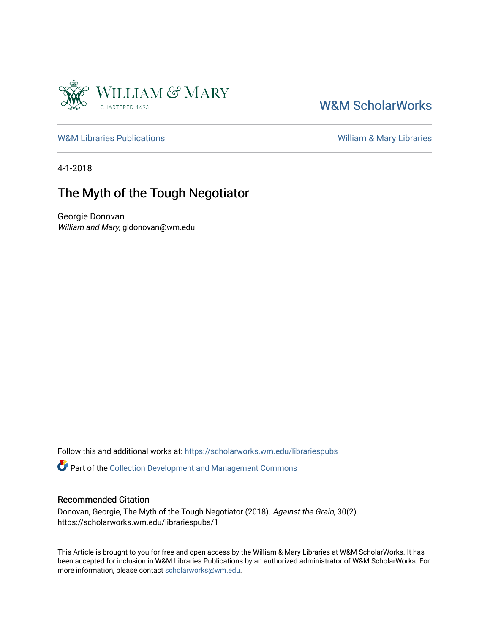

## [W&M ScholarWorks](https://scholarworks.wm.edu/)

[W&M Libraries Publications](https://scholarworks.wm.edu/librariespubs) **William & Mary Libraries** William & Mary Libraries

4-1-2018

## The Myth of the Tough Negotiator

Georgie Donovan William and Mary, gldonovan@wm.edu

Follow this and additional works at: [https://scholarworks.wm.edu/librariespubs](https://scholarworks.wm.edu/librariespubs?utm_source=scholarworks.wm.edu%2Flibrariespubs%2F1&utm_medium=PDF&utm_campaign=PDFCoverPages)

Part of the [Collection Development and Management Commons](http://network.bepress.com/hgg/discipline/1271?utm_source=scholarworks.wm.edu%2Flibrariespubs%2F1&utm_medium=PDF&utm_campaign=PDFCoverPages) 

### Recommended Citation

Donovan, Georgie, The Myth of the Tough Negotiator (2018). Against the Grain, 30(2). https://scholarworks.wm.edu/librariespubs/1

This Article is brought to you for free and open access by the William & Mary Libraries at W&M ScholarWorks. It has been accepted for inclusion in W&M Libraries Publications by an authorized administrator of W&M ScholarWorks. For more information, please contact [scholarworks@wm.edu](mailto:scholarworks@wm.edu).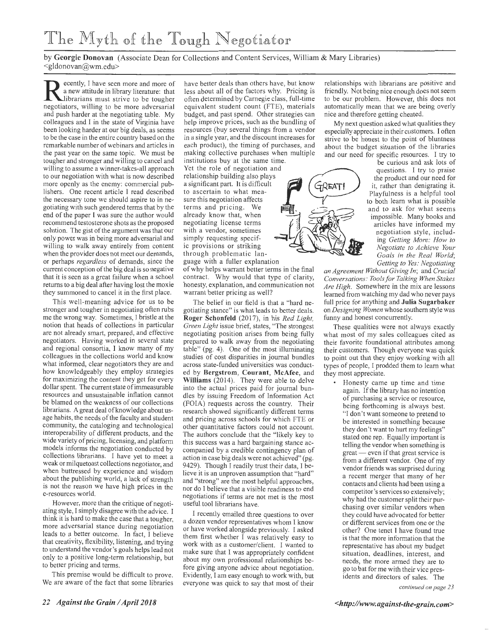# The Myth of the Tough Negotiator

by **Georgie Donovan** (Associate Dean for Collections and Content Services, William & Mary Libraries) <gldonovan@wm.edu>

ecently, I have seen more and more of a new attitude in library literature: that librarians must strive to be tougher negotiators, willing to be more adversarial and push harder at the negotiating table. My colleagues and I in the state of Virginia have been looking harder at our big deals, as seems to be the case in the entire country based on the remarkable number of webinars and articles in the past year on the same topic. We must be tougher and stronger and willing to cancel and willing to assume a winner-takes-all approach to our negotiation with what is now described more openly as the enemy: commercial publishers. One recent article I read described the necessary tone we should aspire to in negotiating with such gendered terms that by the end of the paper I was sure the author would recommend testosterone shots as the proposed solution. The gist of the argument was that our only power was in being more adversarial and willing to walk away entirely from content when the provider does not meet our demands, or perhaps *regardless* of demands, since the current conception of the big deal is so negative that it is seen as a great failure when a school returns to a big deal after having lost the moxie they summoned to cancel it in the first place.

This well-meaning advice for us to be stronger and tougher in negotiating often rubs me the wrong way. Sometimes, I bristle at the notion that heads of collections in particular are not already smart, prepared, and effective negotiators. Having worked in several state and regional consortia, I know many of my colleagues in the collections world and know what informed, clear negotiators they are and how knowledgeably they employ strategies for maximizing the content they get for every dollar spent. The current state of immeasurable resources and unsustainable inflation cannot be blamed on the weakness of our collections librarians. A great deal of knowledge about usage habits, the needs of the faculty and student community, the cataloging and technological interoperability of different products, and the wide variety of pricing, licensing, and platform models informs the negotiation conducted by collections librarians. I have yet to meet a weak or milquetoast collections negotiator, and when buttressed by experience and wisdom about the publishing world, a lack of strength is not the reason we have high prices in the e-resources world.

However, more than the critique of negotiating style, I simply disagree with the advice. I think it is hard to make the case that a tougher, more adversarial stance during negotiation leads to a better outcome. In fact, I believe that creativity, flexibility, listening, and trying to understand the vendor's goals helps lead not only to a positive long-term relationship, but to better pricing and terms.

This premise would be difficult to prove. We are aware of the fact that some libraries

have better deals than others have, but know less about all of the factors why. Pricing is often determined by Carnegie class, full-time equivalent student count (FTE), materials budget, and past spend. Other strategies can help improve prices, such as the bundling of resources (buy several things from a vendor in a single year, and the discount increases for each product), the timing of purchases, and making collective purchases when multiple

institutions buy at the same time. Yet the role of negotiation and relationship building also plays<br>a significant part. It is difficult and our institutions buy at the same time.<br>
Yet the role of negotiation and<br>
relationship building also plays<br>
a significant part. It is difficult to ascertain to what measure this negotiation affects terms and pricing. We already know that, when<br>negotiating license terms **the second of all of the second of the second of the second of the second of the second** with a vendor, sometimes simply requesting specific provisions or striking through problematic language with a fuller explanation

of why helps warrant better terms in the final contract. Why would that type of clarity, honesty, explanation, and communication not warrant better pricing as well?

The belief in our field is that a "hard negotiating stance" is what leads to better deals. **Roger Schonfeld** (2017), in his *Red Light, Green Light* issue brief, states, "The strongest negotiating position arises from being fully prepared to walk away from the negotiating table" (pg. 4). One of the most illuminating studies of cost disparities in journal bundles across state-funded universities was conducted by **Bergstrom, Courant, McAfee,** and Williams (2014). They were able to delve into the actual prices paid for journal bundles by issuing Freedom of Information Act (FOIA) requests across the country. Their research showed significantly different terms and pricing across schools for which FTE or other quantitative factors could not account. The authors conclude that the "likely key to this success was a hard bargaining stance accompanied by a credible contingency plan of action in case big deals were not achieved" (pg. 9429). Though I readily trust their data, I believe it is an unproven assumption that "hard" and "strong" are the most helpful approaches, nor do I believe that a visible readiness to end negotiations if terms are not met is the most useful tool librarians have.

I recently emailed three questions to over a dozen vendor representatives whom I know or have worked alongside previously. I asked them first whether I was relatively easy to work with as a customer/client. I wanted to make sure that I was appropriately confident about my own professional relationships before giving anyone advice about negotiation. Evidently, I am easy enough to work with, but everyone was quick to say that most of their

relationships with librarians are positive and friendly. Not being nice enough does not seem to be our problem. However, this does not automatically mean that we are being overly nice and therefore getting cheated.

My next question asked what qualities they especially appreciate in their customers. I often strive to be honest to the point of bluntness about the budget situation of the libraries and our need for specific resources. I try to

be curious and ask lots of questions. I try to praise the product and our need for it, rather than denigrating it. Playfulness is a helpful tool to both learn what is possible and to ask for what seems impossible. Many books and articles have informed my negotiation style, including *Getting More: How to Negotiate to Achieve Your Goals in the Real World; Getting to Yes: Negotiating* 

*an Agreement Without Giving In;* and *Crucial Conversations: Tools for Talking When Stakes Are High .* Somewhere in the mix are lessons learned from watching my dad who never pays full price for anything and **Julia Sugarbaker**  on *Designing Women* whose southern style was funny and honest concurrently.

These qualities were not always exactly what most of my sales colleagues cited as their favorite foundational attributes among their customers. Though everyone was quick to point out that they enjoy working with all types of people, I prodded them to learn what they most appreciate.

> • Honesty came up time and time again. If the library has no intention of purchasing a service or resource, being forthcoming is always best. "I don 't want someone to pretend to be interested in something because they don't want to hurt my feelings" stated one rep. Equally important is telling the vendor when something is  $\theta$  great  $\theta$  even if that great service is from a different vendor. One of my vendor friends was surprised during a recent merger that many of her contacts and clients had been using a competitor's services so extensively; why had the customer split their purchasing over similar vendors when they could have advocated for better or different services from one or the other? One tenet I have found true is that the more information that the representative has about my budget situation, deadlines, interest, and needs, the more armed they are to go to bat for me with their vice presidents and directors of sales. The

> > *continued on page 23*